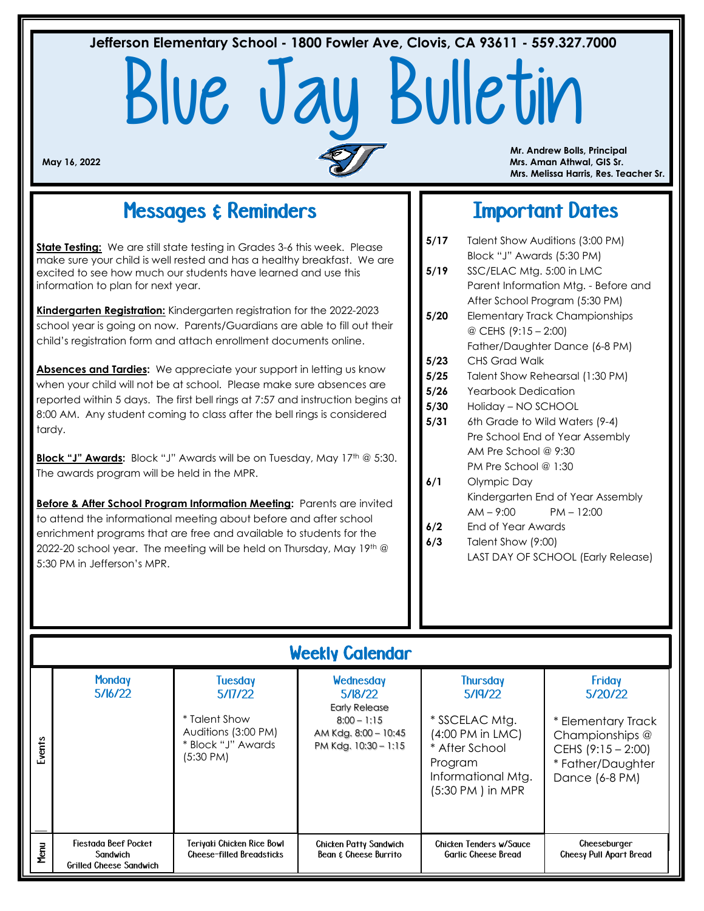# Blue Jay Bulletin **Jefferson Elementary School - 1800 Fowler Ave, Clovis, CA 93611 - 559.327.7000**

 **Mr. Andrew Bolls, Principal May 16, 2022 Mrs. Aman Athwal, GIS Sr. Mrs. Melissa Harris, Res. Teacher Sr.**

## Messages & Reminders

**State Testing:** We are still state testing in Grades 3-6 this week. Please make sure your child is well rested and has a healthy breakfast. We are excited to see how much our students have learned and use this information to plan for next year.

**Kindergarten Registration:** Kindergarten registration for the 2022-2023 school year is going on now. Parents/Guardians are able to fill out their child's registration form and attach enrollment documents online.

Absences and Tardies: We appreciate your support in letting us know when your child will not be at school. Please make sure absences are reported within 5 days. The first bell rings at 7:57 and instruction begins at 8:00 AM. Any student coming to class after the bell rings is considered tardy.

**Block "J" Awards:** Block "J" Awards will be on Tuesday, May 17<sup>th</sup> @ 5:30. The awards program will be held in the MPR.

**Before & After School Program Information Meeting:** Parents are invited to attend the informational meeting about before and after school enrichment programs that are free and available to students for the 2022-20 school year. The meeting will be held on Thursday, May 19th  $@$ 5:30 PM in Jefferson's MPR.

## Important Dates

| 5/17                                   | Talent Show Auditions (3:00 PM)                |  |  |  |  |  |
|----------------------------------------|------------------------------------------------|--|--|--|--|--|
|                                        | Block "J" Awards (5:30 PM)                     |  |  |  |  |  |
| 5/19                                   | SSC/ELAC Mtg. 5:00 in LMC                      |  |  |  |  |  |
|                                        | Parent Information Mtg. - Before and           |  |  |  |  |  |
|                                        | After School Program (5:30 PM)                 |  |  |  |  |  |
| 5/20                                   | Elementary Track Championships                 |  |  |  |  |  |
|                                        | @ CEHS (9:15 - 2:00)                           |  |  |  |  |  |
|                                        | Father/Daughter Dance (6-8 PM)                 |  |  |  |  |  |
| 5/23                                   | CHS Grad Walk                                  |  |  |  |  |  |
| 5/25                                   | Talent Show Rehearsal (1:30 PM)                |  |  |  |  |  |
| 5/26                                   | <b>Yearbook Dedication</b>                     |  |  |  |  |  |
| 5/30                                   | Holiday - NO SCHOOL                            |  |  |  |  |  |
| 6th Grade to Wild Waters (9-4)<br>5/31 |                                                |  |  |  |  |  |
|                                        | Pre School End of Year Assembly                |  |  |  |  |  |
|                                        | AM Pre School @ $9:30$<br>PM Pre School @ 1:30 |  |  |  |  |  |
|                                        |                                                |  |  |  |  |  |
| 6/1                                    | Olympic Day                                    |  |  |  |  |  |
|                                        | Kindergarten End of Year Assembly              |  |  |  |  |  |
|                                        | $PM - 12:00$<br>$AM - 9:00$                    |  |  |  |  |  |
|                                        |                                                |  |  |  |  |  |

**6/2** End of Year Awards **6/3** Talent Show (9:00) LAST DAY OF SCHOOL (Early Release)

## Weekly Calendar

| Events | <b>Monday</b><br>5/16/22                                           | <b>Tuesday</b><br>5/17/22<br>* Talent Show<br>Auditions (3:00 PM)<br>* Block "J" Awards<br>$(5:30 \text{ PM})$ | Wednesday<br>5/18/22<br><b>Early Release</b><br>$8:00 - 1:15$<br>AM Kdg. 8:00 - 10:45<br>PM Kdg. 10:30 - 1:15 | <b>Thursday</b><br>5/19/22<br>* SSCELAC Mtg.<br>(4:00 PM in LMC)<br>* After School<br>Program<br>Informational Mtg.<br>(5:30 PM) in MPR | Friday<br>5/20/22<br>* Elementary Track<br>Championships @<br>CEHS $(9:15 - 2:00)$<br>* Father/Daughter<br>Dance (6-8 PM) |
|--------|--------------------------------------------------------------------|----------------------------------------------------------------------------------------------------------------|---------------------------------------------------------------------------------------------------------------|-----------------------------------------------------------------------------------------------------------------------------------------|---------------------------------------------------------------------------------------------------------------------------|
| Menu   | Fiestada Beef Pocket<br>Sandwich<br><b>Grilled Cheese Sandwich</b> | Teriyaki Chicken Rice Bowl<br><b>Cheese-filled Breadsticks</b>                                                 | <b>Chicken Patty Sandwich</b><br>Bean & Cheese Burrito                                                        | Chicken Tenders w/Sauce<br><b>Garlic Cheese Bread</b>                                                                                   | Cheeseburger<br><b>Cheesy Pull Apart Bread</b>                                                                            |